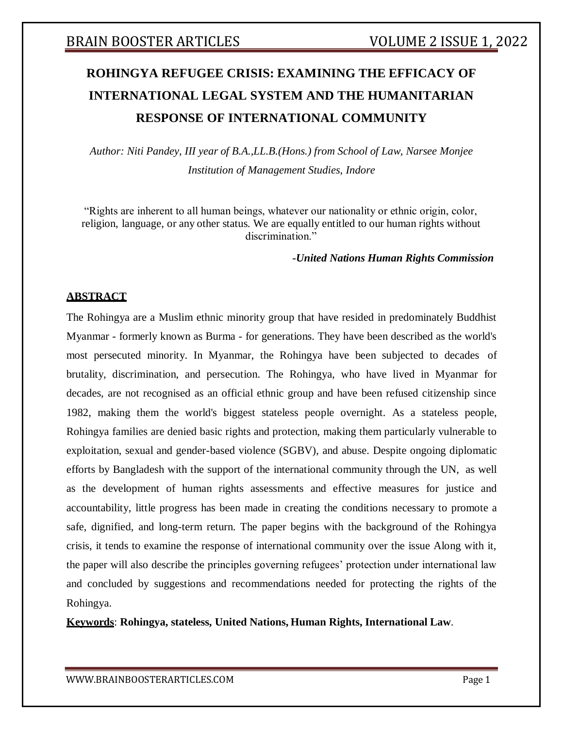# **ROHINGYA REFUGEE CRISIS: EXAMINING THE EFFICACY OF INTERNATIONAL LEGAL SYSTEM AND THE HUMANITARIAN RESPONSE OF INTERNATIONAL COMMUNITY**

*Author: Niti Pandey, III year of B.A.,LL.B.(Hons.) from School of Law, Narsee Monjee Institution of Management Studies, Indore*

"Rights are inherent to all human beings, whatever our nationality or ethnic origin, color, religion, language, or any other status. We are equally entitled to our human rights without discrimination."

*-United Nations Human Rights Commission*

## **ABSTRACT**

The Rohingya are a Muslim ethnic minority group that have resided in predominately Buddhist Myanmar - formerly known as Burma - for generations. They have been described as the world's most persecuted minority. In Myanmar, the Rohingya have been subjected to decades of brutality, discrimination, and persecution. The Rohingya, who have lived in Myanmar for decades, are not recognised as an official ethnic group and have been refused citizenship since 1982, making them the world's biggest stateless people overnight. As a stateless people, Rohingya families are denied basic rights and protection, making them particularly vulnerable to exploitation, sexual and gender-based violence (SGBV), and abuse. Despite ongoing diplomatic efforts by Bangladesh with the support of the international community through the UN, as well as the development of human rights assessments and effective measures for justice and accountability, little progress has been made in creating the conditions necessary to promote a safe, dignified, and long-term return. The paper begins with the background of the Rohingya crisis, it tends to examine the response of international community over the issue Along with it, the paper will also describe the principles governing refugees' protection under international law and concluded by suggestions and recommendations needed for protecting the rights of the Rohingya.

**Keywords**: **Rohingya, stateless, United Nations, Human Rights, International Law**.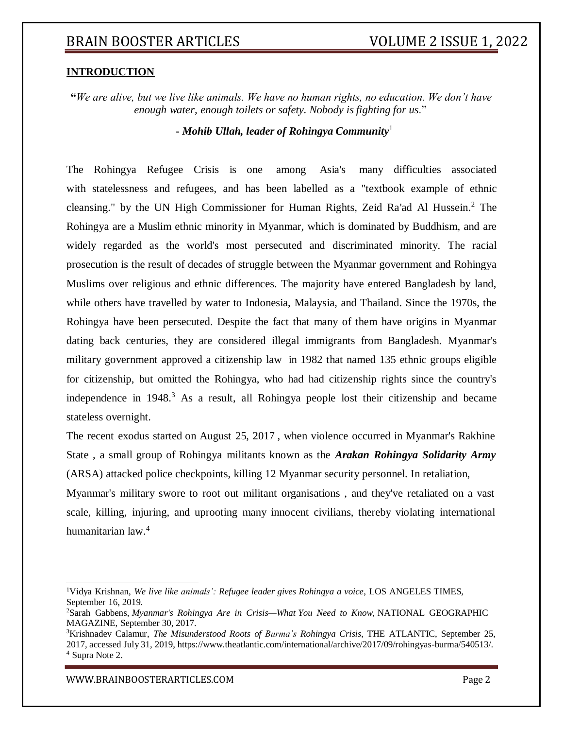## **INTRODUCTION**

**"***We are alive, but we live like animals. We have no human rights, no education. We don't have enough water, enough toilets or safety. Nobody is fighting for us*."

**-** *Mohib Ullah, leader of Rohingya Community*<sup>1</sup>

The Rohingya Refugee Crisis is one among Asia's many difficulties associated with statelessness and refugees, and has been labelled as a "textbook example of ethnic cleansing." by the UN High Commissioner for Human Rights, Zeid Ra'ad Al Hussein.<sup>2</sup> The Rohingya are a Muslim ethnic minority in Myanmar, which is dominated by Buddhism, and are widely regarded as the world's most persecuted and discriminated minority. The racial prosecution is the result of decades of struggle between the Myanmar government and Rohingya Muslims over religious and ethnic differences. The majority have entered Bangladesh by land, while others have travelled by water to Indonesia, Malaysia, and Thailand. Since the 1970s, the Rohingya have been persecuted. Despite the fact that many of them have origins in Myanmar dating back centuries, they are considered illegal immigrants from Bangladesh. Myanmar's military government approved a citizenship law in 1982 that named 135 ethnic groups eligible for citizenship, but omitted the Rohingya, who had had citizenship rights since the country's independence in  $1948<sup>3</sup>$  As a result, all Rohingya people lost their citizenship and became stateless overnight.

The recent exodus started on August 25, 2017 , when violence occurred in Myanmar's Rakhine State , a small group of Rohingya militants known as the *Arakan Rohingya Solidarity Army* (ARSA) attacked police checkpoints, killing 12 Myanmar security personnel. In retaliation,

Myanmar's military swore to root out militant organisations , and they've retaliated on a vast scale, killing, injuring, and uprooting many innocent civilians, thereby violating international humanitarian law.<sup>4</sup>

[WWW.BRAINBOOSTERARTICLES.COM](http://www.brainboosterarticles.com/) enterprise and the control of the control of the control of the control of the control of the control of the control of the control of the control of the control of the control of the control o

<sup>1</sup>Vidya Krishnan, *We live like animals': Refugee leader gives Rohingya a voice*, LOS ANGELES TIMES, September 16, 2019.

<sup>2</sup>Sarah Gabbens, *Myanmar's Rohingya Are in Crisis—What You Need to Know*, NATIONAL GEOGRAPHIC MAGAZINE, September 30, 2017.

<sup>3</sup>Krishnadev Calamur, *The Misunderstood Roots of Burma's Rohingya Crisis*, THE ATLANTIC, September 25, 2017, accessed July 31, 2019, https:[//www.theatlantic.com/international/archive/2017/09/rohingyas-burma/540513/.](http://www.theatlantic.com/international/archive/2017/09/rohingyas-burma/540513/) <sup>4</sup> Supra Note 2.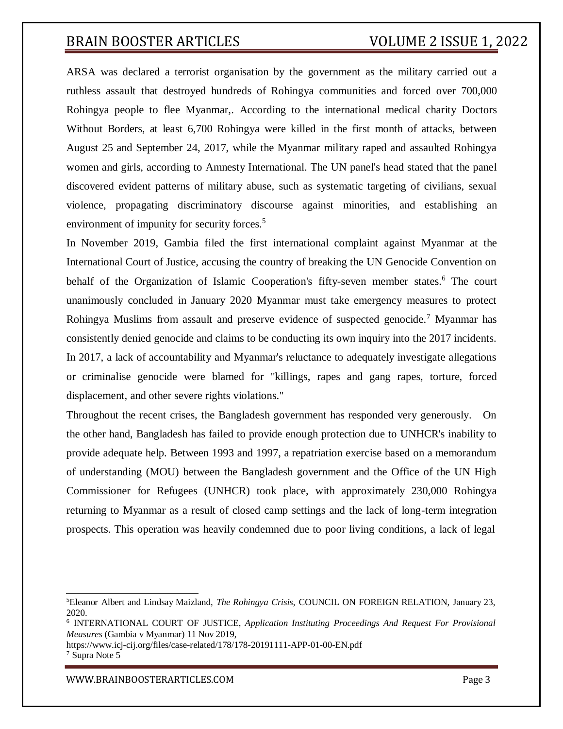ARSA was declared a terrorist organisation by the government as the military carried out a ruthless assault that destroyed hundreds of Rohingya communities and forced over 700,000 Rohingya people to flee Myanmar,. According to the international medical charity Doctors Without Borders, at least 6,700 Rohingya were killed in the first month of attacks, between August 25 and September 24, 2017, while the Myanmar military raped and assaulted Rohingya women and girls, according to Amnesty International. The UN panel's head stated that the panel discovered evident patterns of military abuse, such as systematic targeting of civilians, sexual violence, propagating discriminatory discourse against minorities, and establishing an environment of impunity for security forces.<sup>5</sup>

In November 2019, Gambia filed the first international complaint against Myanmar at the International Court of Justice, accusing the country of breaking the UN Genocide Convention on behalf of the Organization of Islamic Cooperation's fifty-seven member states.<sup>6</sup> The court unanimously concluded in January 2020 Myanmar must take emergency measures to protect Rohingya Muslims from assault and preserve evidence of suspected genocide.<sup>7</sup> Myanmar has consistently denied genocide and claims to be conducting its own inquiry into the 2017 incidents. In 2017, a lack of accountability and Myanmar's reluctance to adequately investigate allegations or criminalise genocide were blamed for "killings, rapes and gang rapes, torture, forced displacement, and other severe rights violations."

Throughout the recent crises, the Bangladesh government has responded very generously. On the other hand, Bangladesh has failed to provide enough protection due to UNHCR's inability to provide adequate help. Between 1993 and 1997, a repatriation exercise based on a memorandum of understanding (MOU) between the Bangladesh government and the Office of the UN High Commissioner for Refugees (UNHCR) took place, with approximately 230,000 Rohingya returning to Myanmar as a result of closed camp settings and the lack of long-term integration prospects. This operation was heavily condemned due to poor living conditions, a lack of legal

https:/[/www.icj-cij.org/files/case-related/178/178-20191111-APP-01-00-EN.pdf](http://www.icj-cij.org/files/case-related/178/178-20191111-APP-01-00-EN.pdf) <sup>7</sup> Supra Note 5

#### [WWW.BRAINBOOSTERARTICLES.COM](http://www.brainboosterarticles.com/) enterprise and the state of the page 3

<sup>5</sup>Eleanor Albert and Lindsay Maizland, *The Rohingya Crisis*, COUNCIL ON FOREIGN RELATION, January 23, 2020.

<sup>6</sup> INTERNATIONAL COURT OF JUSTICE, *Application Instituting Proceedings And Request For Provisional Measures* (Gambia v Myanmar) 11 Nov 2019,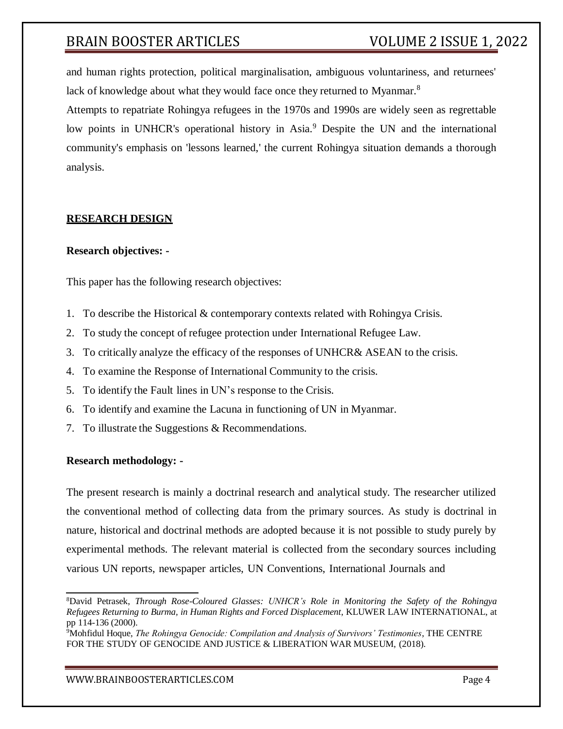and human rights protection, political marginalisation, ambiguous voluntariness, and returnees' lack of knowledge about what they would face once they returned to Myanmar.<sup>8</sup>

Attempts to repatriate Rohingya refugees in the 1970s and 1990s are widely seen as regrettable low points in UNHCR's operational history in Asia.<sup>9</sup> Despite the UN and the international community's emphasis on 'lessons learned,' the current Rohingya situation demands a thorough analysis.

## **RESEARCH DESIGN**

## **Research objectives: -**

This paper has the following research objectives:

- 1. To describe the Historical & contemporary contexts related with Rohingya Crisis.
- 2. To study the concept of refugee protection under International Refugee Law.
- 3. To critically analyze the efficacy of the responses of UNHCR& ASEAN to the crisis.
- 4. To examine the Response of International Community to the crisis.
- 5. To identify the Fault lines in UN's response to the Crisis.
- 6. To identify and examine the Lacuna in functioning of UN in Myanmar.
- 7. To illustrate the Suggestions & Recommendations.

## **Research methodology: -**

The present research is mainly a doctrinal research and analytical study. The researcher utilized the conventional method of collecting data from the primary sources. As study is doctrinal in nature, historical and doctrinal methods are adopted because it is not possible to study purely by experimental methods. The relevant material is collected from the secondary sources including various UN reports, newspaper articles, UN Conventions, International Journals and

<sup>8</sup>David Petrasek, *Through Rose-Coloured Glasses: UNHCR's Role in Monitoring the Safety of the Rohingya Refugees Returning to Burma, in Human Rights and Forced Displacement*, KLUWER LAW INTERNATIONAL, at pp 114-136 (2000).

<sup>9</sup>Mohfidul Hoque, *The Rohingya Genocide: Compilation and Analysis of Survivors' Testimonies*, THE CENTRE FOR THE STUDY OF GENOCIDE AND JUSTICE & LIBERATION WAR MUSEUM, (2018).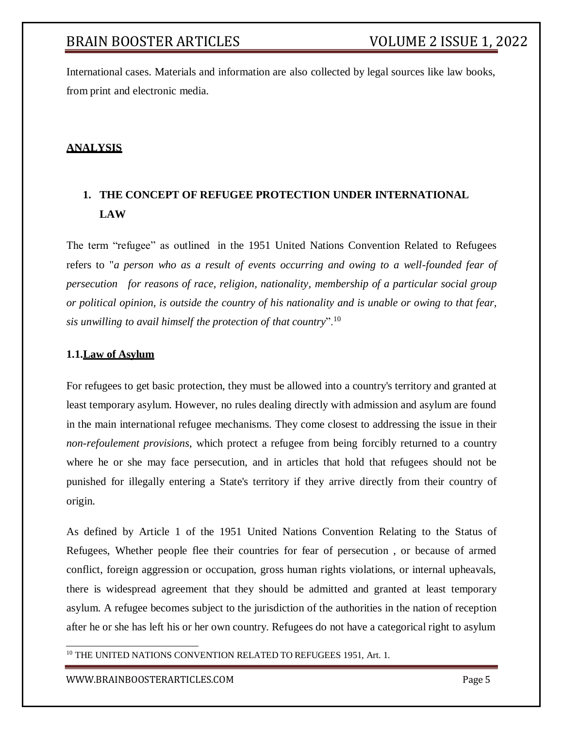International cases. Materials and information are also collected by legal sources like law books, from print and electronic media.

## **ANALYSIS**

## **1. THE CONCEPT OF REFUGEE PROTECTION UNDER INTERNATIONAL LAW**

The term "refugee" as outlined in the 1951 United Nations Convention Related to Refugees refers to "*a person who as a result of events occurring and owing to a well-founded fear of persecution for reasons of race, religion, nationality, membership of a particular social group or political opinion, is outside the country of his nationality and is unable or owing to that fear, sis unwilling to avail himself the protection of that country*".<sup>10</sup>

## **1.1.Law of Asylum**

For refugees to get basic protection, they must be allowed into a country's territory and granted at least temporary asylum. However, no rules dealing directly with admission and asylum are found in the main international refugee mechanisms. They come closest to addressing the issue in their *non-refoulement provisions*, which protect a refugee from being forcibly returned to a country where he or she may face persecution, and in articles that hold that refugees should not be punished for illegally entering a State's territory if they arrive directly from their country of origin.

As defined by Article 1 of the 1951 United Nations Convention Relating to the Status of Refugees, Whether people flee their countries for fear of persecution , or because of armed conflict, foreign aggression or occupation, gross human rights violations, or internal upheavals, there is widespread agreement that they should be admitted and granted at least temporary asylum. A refugee becomes subject to the jurisdiction of the authorities in the nation of reception after he or she has left his or her own country. Refugees do not have a categorical right to asylum

<sup>10</sup> THE UNITED NATIONS CONVENTION RELATED TO REFUGEES 1951, Art. 1.

[WWW.BRAINBOOSTERARTICLES.COM](http://www.brainboosterarticles.com/) Page 5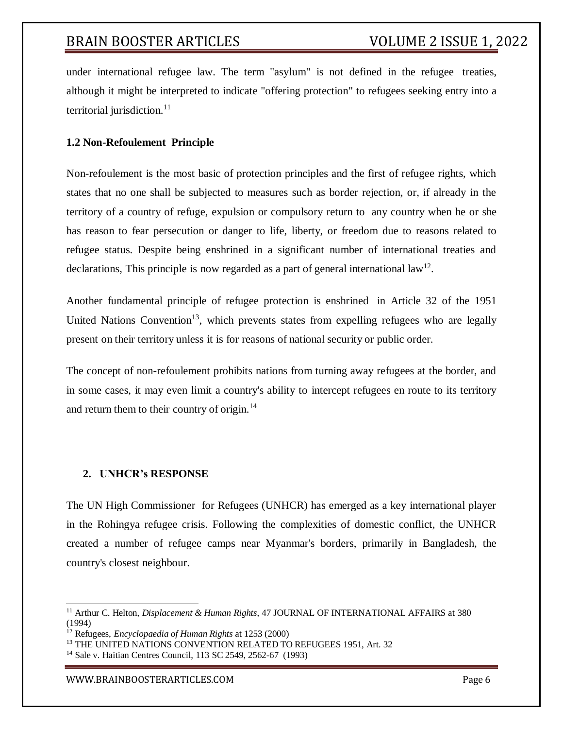under international refugee law. The term "asylum" is not defined in the refugee treaties, although it might be interpreted to indicate "offering protection" to refugees seeking entry into a territorial jurisdiction.<sup>11</sup>

## **1.2 Non-Refoulement Principle**

Non-refoulement is the most basic of protection principles and the first of refugee rights, which states that no one shall be subjected to measures such as border rejection, or, if already in the territory of a country of refuge, expulsion or compulsory return to any country when he or she has reason to fear persecution or danger to life, liberty, or freedom due to reasons related to refugee status. Despite being enshrined in a significant number of international treaties and declarations, This principle is now regarded as a part of general international  $law<sup>12</sup>$ .

Another fundamental principle of refugee protection is enshrined in Article 32 of the 1951 United Nations Convention<sup>13</sup>, which prevents states from expelling refugees who are legally present on their territory unless it is for reasons of national security or public order.

The concept of non-refoulement prohibits nations from turning away refugees at the border, and in some cases, it may even limit a country's ability to intercept refugees en route to its territory and return them to their country of origin.<sup>14</sup>

## **2. UNHCR's RESPONSE**

The UN High Commissioner for Refugees (UNHCR) has emerged as a key international player in the Rohingya refugee crisis. Following the complexities of domestic conflict, the UNHCR created a number of refugee camps near Myanmar's borders, primarily in Bangladesh, the country's closest neighbour.

[WWW.BRAINBOOSTERARTICLES.COM](http://www.brainboosterarticles.com/) **Page 6** 

<sup>&</sup>lt;sup>11</sup> Arthur C. Helton, *Displacement & Human Rights*, 47 JOURNAL OF INTERNATIONAL AFFAIRS at 380 (1994)

<sup>12</sup> Refugees, *Encyclopaedia of Human Rights* at 1253 (2000)

<sup>&</sup>lt;sup>13</sup> THE UNITED NATIONS CONVENTION RELATED TO REFUGEES 1951, Art. 32

<sup>14</sup> Sale v. Haitian Centres Council, 113 SC 2549, 2562-67 (1993)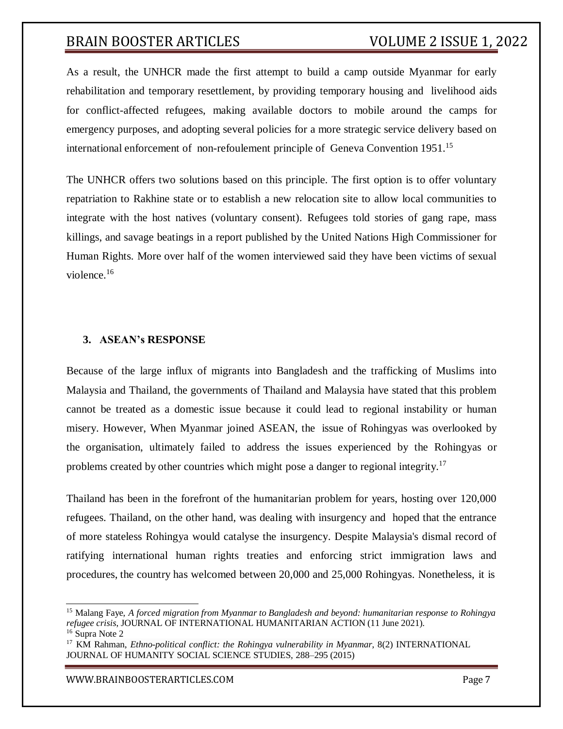As a result, the UNHCR made the first attempt to build a camp outside Myanmar for early rehabilitation and temporary resettlement, by providing temporary housing and livelihood aids for conflict-affected refugees, making available doctors to mobile around the camps for emergency purposes, and adopting several policies for a more strategic service delivery based on international enforcement of non-refoulement principle of Geneva Convention 1951.<sup>15</sup>

The UNHCR offers two solutions based on this principle. The first option is to offer voluntary repatriation to Rakhine state or to establish a new relocation site to allow local communities to integrate with the host natives (voluntary consent). Refugees told stories of gang rape, mass killings, and savage beatings in a report published by the United Nations High Commissioner for Human Rights. More over half of the women interviewed said they have been victims of sexual violence.<sup>16</sup>

#### **3. ASEAN's RESPONSE**

Because of the large influx of migrants into Bangladesh and the trafficking of Muslims into Malaysia and Thailand, the governments of Thailand and Malaysia have stated that this problem cannot be treated as a domestic issue because it could lead to regional instability or human misery. However, When Myanmar joined ASEAN, the issue of Rohingyas was overlooked by the organisation, ultimately failed to address the issues experienced by the Rohingyas or problems created by other countries which might pose a danger to regional integrity.<sup>17</sup>

Thailand has been in the forefront of the humanitarian problem for years, hosting over 120,000 refugees. Thailand, on the other hand, was dealing with insurgency and hoped that the entrance of more stateless Rohingya would catalyse the insurgency. Despite Malaysia's dismal record of ratifying international human rights treaties and enforcing strict immigration laws and procedures, the country has welcomed between 20,000 and 25,000 Rohingyas. Nonetheless, it is

<sup>15</sup> Malang Faye, *A forced migration from Myanmar to Bangladesh and beyond: humanitarian response to Rohingya refugee crisis*, JOURNAL OF INTERNATIONAL HUMANITARIAN ACTION (11 June 2021).

<sup>16</sup> Supra Note 2

<sup>17</sup> KM Rahman, *Ethno-political conflict: the Rohingya vulnerability in Myanmar*, 8(2) INTERNATIONAL JOURNAL OF HUMANITY SOCIAL SCIENCE STUDIES, 288–295 (2015)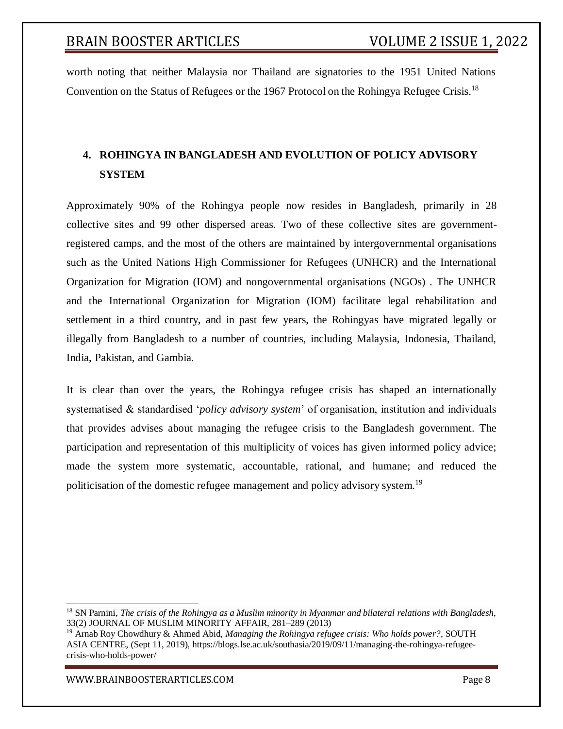worth noting that neither Malaysia nor Thailand are signatories to the 1951 United Nations Convention on the Status of Refugees or the 1967 Protocol on the Rohingya Refugee Crisis.<sup>18</sup>

## **4. ROHINGYA IN BANGLADESH AND EVOLUTION OF POLICY ADVISORY SYSTEM**

Approximately 90% of the Rohingya people now resides in Bangladesh, primarily in 28 collective sites and 99 other dispersed areas. Two of these collective sites are governmentregistered camps, and the most of the others are maintained by intergovernmental organisations such as the United Nations High Commissioner for Refugees (UNHCR) and the International Organization for Migration (IOM) and nongovernmental organisations (NGOs) . The UNHCR and the International Organization for Migration (IOM) facilitate legal rehabilitation and settlement in a third country, and in past few years, the Rohingyas have migrated legally or illegally from Bangladesh to a number of countries, including Malaysia, Indonesia, Thailand, India, Pakistan, and Gambia.

It is clear than over the years, the Rohingya refugee crisis has shaped an internationally systematised & standardised '*policy advisory system*' of organisation, institution and individuals that provides advises about managing the refugee crisis to the Bangladesh government. The participation and representation of this multiplicity of voices has given informed policy advice; made the system more systematic, accountable, rational, and humane; and reduced the politicisation of the domestic refugee management and policy advisory system.<sup>19</sup>

[WWW.BRAINBOOSTERARTICLES.COM](http://www.brainboosterarticles.com/) enterprise and the control of the control of the control of the control of the control of the control of the control of the control of the control of the control of the control of the control o

<sup>18</sup> SN Parnini, *The crisis of the Rohingya as a Muslim minority in Myanmar and bilateral relations with Bangladesh*, 33(2) JOURNAL OF MUSLIM MINORITY AFFAIR, 281–289 (2013)

<sup>19</sup> Arnab Roy Chowdhury & Ahmed Abid, *Managing the Rohingya refugee crisis: Who holds power?*, SOUTH ASIA CENTRE, (Sept 11, 2019), https://blogs.lse.ac.uk/southasia/2019/09/11/managing-the-rohingya-refugeecrisis-who-holds-power/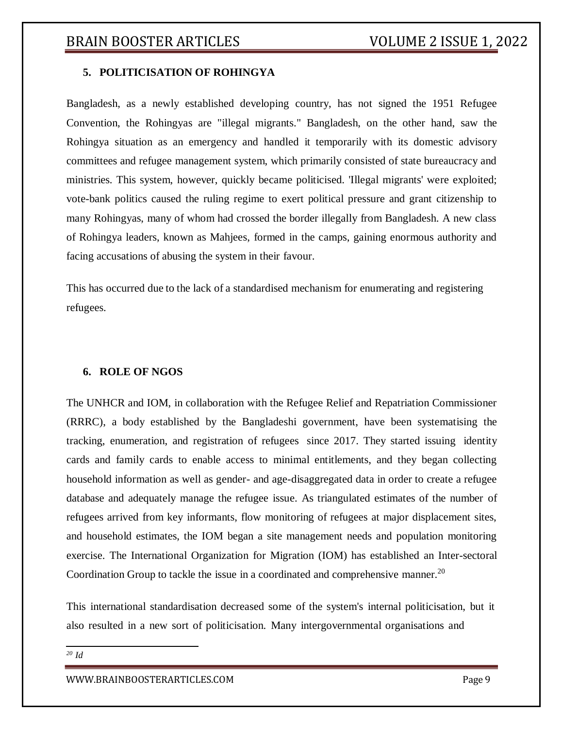## **5. POLITICISATION OF ROHINGYA**

Bangladesh, as a newly established developing country, has not signed the 1951 Refugee Convention, the Rohingyas are "illegal migrants." Bangladesh, on the other hand, saw the Rohingya situation as an emergency and handled it temporarily with its domestic advisory committees and refugee management system, which primarily consisted of state bureaucracy and ministries. This system, however, quickly became politicised. 'Illegal migrants' were exploited; vote-bank politics caused the ruling regime to exert political pressure and grant citizenship to many Rohingyas, many of whom had crossed the border illegally from Bangladesh. A new class of Rohingya leaders, known as Mahjees, formed in the camps, gaining enormous authority and facing accusations of abusing the system in their favour.

This has occurred due to the lack of a standardised mechanism for enumerating and registering refugees.

## **6. ROLE OF NGOS**

The UNHCR and IOM, in collaboration with the Refugee Relief and Repatriation Commissioner (RRRC), a body established by the Bangladeshi government, have been systematising the tracking, enumeration, and registration of refugees since 2017. They started issuing identity cards and family cards to enable access to minimal entitlements, and they began collecting household information as well as gender- and age-disaggregated data in order to create a refugee database and adequately manage the refugee issue. As triangulated estimates of the number of refugees arrived from key informants, flow monitoring of refugees at major displacement sites, and household estimates, the IOM began a site management needs and population monitoring exercise. The International Organization for Migration (IOM) has established an Inter-sectoral Coordination Group to tackle the issue in a coordinated and comprehensive manner.<sup>20</sup>

This international standardisation decreased some of the system's internal politicisation, but it also resulted in a new sort of politicisation. Many intergovernmental organisations and

*<sup>20</sup> Id*

[WWW.BRAINBOOSTERARTICLES.COM](http://www.brainboosterarticles.com/) enterprise and the state of the page 9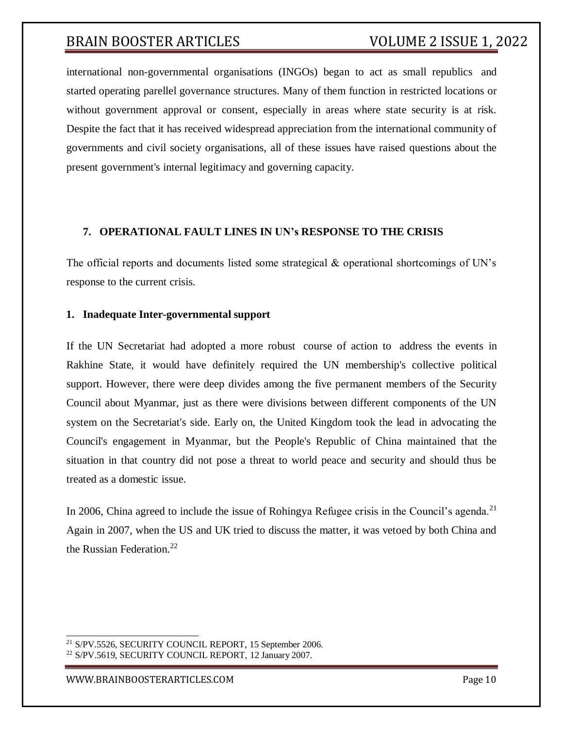international non-governmental organisations (INGOs) began to act as small republics and started operating parellel governance structures. Many of them function in restricted locations or without government approval or consent, especially in areas where state security is at risk. Despite the fact that it has received widespread appreciation from the international community of governments and civil society organisations, all of these issues have raised questions about the present government's internal legitimacy and governing capacity.

## **7. OPERATIONAL FAULT LINES IN UN's RESPONSE TO THE CRISIS**

The official reports and documents listed some strategical & operational shortcomings of UN's response to the current crisis.

#### **1. Inadequate Inter-governmental support**

If the UN Secretariat had adopted a more robust course of action to address the events in Rakhine State, it would have definitely required the UN membership's collective political support. However, there were deep divides among the five permanent members of the Security Council about Myanmar, just as there were divisions between different components of the UN system on the Secretariat's side. Early on, the United Kingdom took the lead in advocating the Council's engagement in Myanmar, but the People's Republic of China maintained that the situation in that country did not pose a threat to world peace and security and should thus be treated as a domestic issue.

In 2006, China agreed to include the issue of Rohingya Refugee crisis in the Council's agenda.<sup>21</sup> Again in 2007, when the US and UK tried to discuss the matter, it was vetoed by both China and the Russian Federation.<sup>22</sup>

[WWW.BRAINBOOSTERARTICLES.COM](http://www.brainboosterarticles.com/) Page 10

<sup>21</sup> S/PV.5526, SECURITY COUNCIL REPORT, 15 September 2006.

<sup>22</sup> S/PV.5619, SECURITY COUNCIL REPORT, 12 January 2007.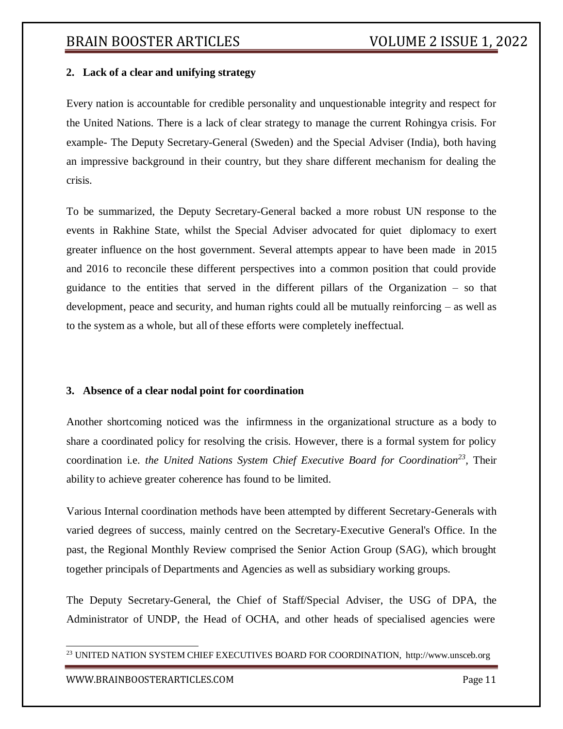## **2. Lack of a clear and unifying strategy**

Every nation is accountable for credible personality and unquestionable integrity and respect for the United Nations. There is a lack of clear strategy to manage the current Rohingya crisis. For example- The Deputy Secretary-General (Sweden) and the Special Adviser (India), both having an impressive background in their country, but they share different mechanism for dealing the crisis.

To be summarized, the Deputy Secretary-General backed a more robust UN response to the events in Rakhine State, whilst the Special Adviser advocated for quiet diplomacy to exert greater influence on the host government. Several attempts appear to have been made in 2015 and 2016 to reconcile these different perspectives into a common position that could provide guidance to the entities that served in the different pillars of the Organization – so that development, peace and security, and human rights could all be mutually reinforcing – as well as to the system as a whole, but all of these efforts were completely ineffectual.

## **3. Absence of a clear nodal point for coordination**

Another shortcoming noticed was the infirmness in the organizational structure as a body to share a coordinated policy for resolving the crisis. However, there is a formal system for policy coordination i.e. *the United Nations System Chief Executive Board for Coordination<sup>23</sup> ,* Their ability to achieve greater coherence has found to be limited.

Various Internal coordination methods have been attempted by different Secretary-Generals with varied degrees of success, mainly centred on the Secretary-Executive General's Office. In the past, the Regional Monthly Review comprised the Senior Action Group (SAG), which brought together principals of Departments and Agencies as well as subsidiary working groups.

The Deputy Secretary-General, the Chief of Staff/Special Adviser, the USG of DPA, the Administrator of UNDP, the Head of OCHA, and other heads of specialised agencies were

<sup>23</sup> UNITED NATION SYSTEM CHIEF EXECUTIVES BOARD FOR COORDINATION, [http://www.unsceb.org](http://www.unsceb.org/)

#### [WWW.BRAINBOOSTERARTICLES.COM](http://www.brainboosterarticles.com/) enterprise and the control of the page 11 model of the page 11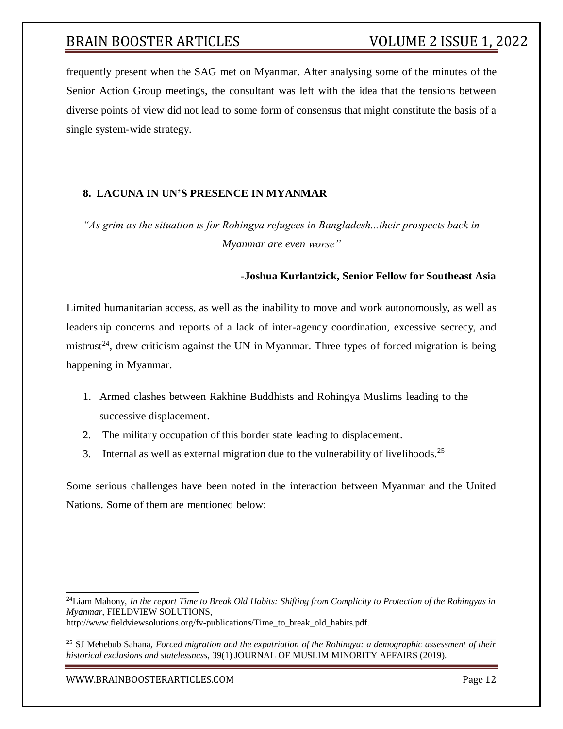frequently present when the SAG met on Myanmar. After analysing some of the minutes of the Senior Action Group meetings, the consultant was left with the idea that the tensions between diverse points of view did not lead to some form of consensus that might constitute the basis of a single system-wide strategy.

## **8. LACUNA IN UN'S PRESENCE IN MYANMAR**

*"As grim as the situation is for Rohingya refugees in Bangladesh...their prospects back in Myanmar are even worse"*

## *-***Joshua Kurlantzick, Senior Fellow for Southeast Asia**

Limited humanitarian access, as well as the inability to move and work autonomously, as well as leadership concerns and reports of a lack of inter-agency coordination, excessive secrecy, and mistrust<sup>24</sup>, drew criticism against the UN in Myanmar. Three types of forced migration is being happening in Myanmar.

- 1. Armed clashes between Rakhine Buddhists and Rohingya Muslims leading to the successive displacement.
- 2. The military occupation of this border state leading to displacement.
- 3. Internal as well as external migration due to the vulnerability of livelihoods.<sup>25</sup>

Some serious challenges have been noted in the interaction between Myanmar and the United Nations. Some of them are mentioned below:

<sup>24</sup>Liam Mahony*, In the report Time to Break Old Habits: Shifting from Complicity to Protection of the Rohingyas in Myanmar*, FIELDVIEW SOLUTIONS,

[http://www.fieldviewsolutions.org/fv-publications/Time\\_to\\_break\\_old\\_habits.pdf.](http://www.fieldviewsolutions.org/fv-publications/Time_to_break_old_habits.pdf)

<sup>25</sup> SJ Mehebub Sahana, *Forced migration and the expatriation of the Rohingya: a demographic assessment of their historical exclusions and statelessness*, 39(1) JOURNAL OF MUSLIM MINORITY AFFAIRS (2019).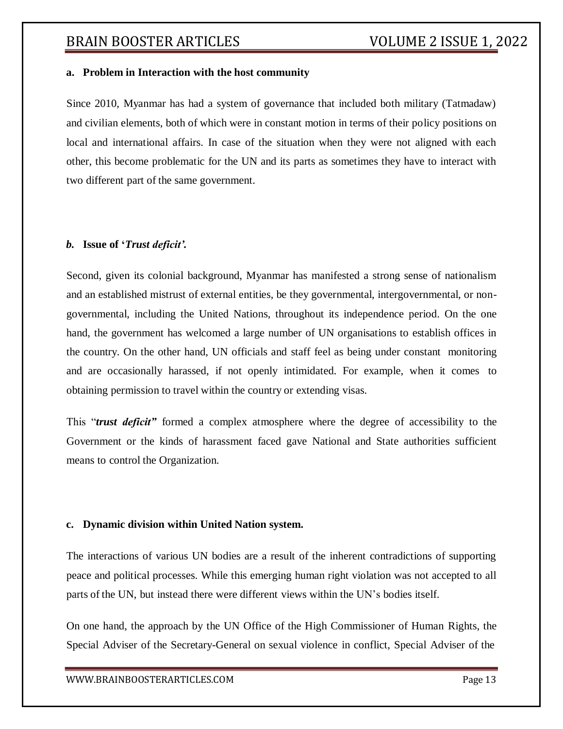#### **a. Problem in Interaction with the host community**

Since 2010, Myanmar has had a system of governance that included both military (Tatmadaw) and civilian elements, both of which were in constant motion in terms of their policy positions on local and international affairs. In case of the situation when they were not aligned with each other, this become problematic for the UN and its parts as sometimes they have to interact with two different part of the same government.

## *b.* **Issue of '***Trust deficit'.*

Second, given its colonial background, Myanmar has manifested a strong sense of nationalism and an established mistrust of external entities, be they governmental, intergovernmental, or nongovernmental, including the United Nations, throughout its independence period. On the one hand, the government has welcomed a large number of UN organisations to establish offices in the country. On the other hand, UN officials and staff feel as being under constant monitoring and are occasionally harassed, if not openly intimidated. For example, when it comes to obtaining permission to travel within the country or extending visas.

This "*trust deficit"* formed a complex atmosphere where the degree of accessibility to the Government or the kinds of harassment faced gave National and State authorities sufficient means to control the Organization.

#### **c. Dynamic division within United Nation system.**

The interactions of various UN bodies are a result of the inherent contradictions of supporting peace and political processes. While this emerging human right violation was not accepted to all parts of the UN, but instead there were different views within the UN's bodies itself.

On one hand, the approach by the UN Office of the High Commissioner of Human Rights, the Special Adviser of the Secretary-General on sexual violence in conflict, Special Adviser of the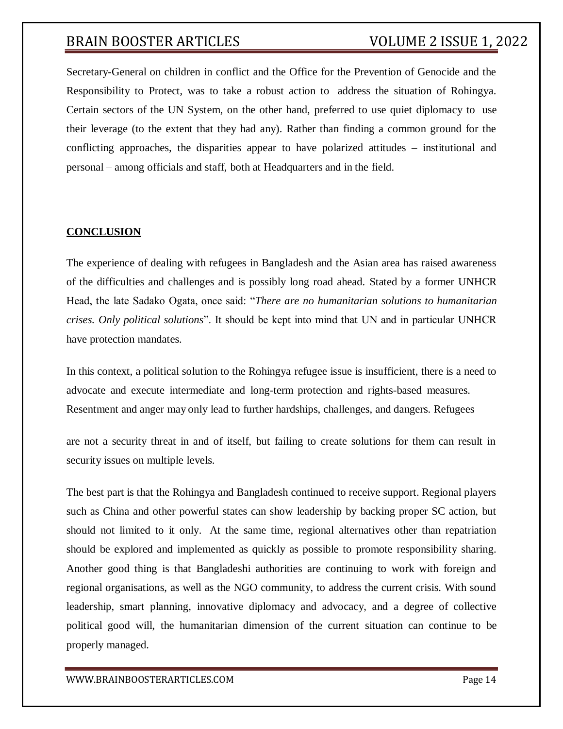Secretary-General on children in conflict and the Office for the Prevention of Genocide and the Responsibility to Protect, was to take a robust action to address the situation of Rohingya. Certain sectors of the UN System, on the other hand, preferred to use quiet diplomacy to use their leverage (to the extent that they had any). Rather than finding a common ground for the conflicting approaches, the disparities appear to have polarized attitudes – institutional and personal – among officials and staff, both at Headquarters and in the field.

## **CONCLUSION**

The experience of dealing with refugees in Bangladesh and the Asian area has raised awareness of the difficulties and challenges and is possibly long road ahead. Stated by a former UNHCR Head, the late Sadako Ogata, once said: "*There are no humanitarian solutions to humanitarian crises. Only political solutions*". It should be kept into mind that UN and in particular UNHCR have protection mandates.

In this context, a political solution to the Rohingya refugee issue is insufficient, there is a need to advocate and execute intermediate and long-term protection and rights-based measures. Resentment and anger may only lead to further hardships, challenges, and dangers. Refugees

are not a security threat in and of itself, but failing to create solutions for them can result in security issues on multiple levels.

The best part is that the Rohingya and Bangladesh continued to receive support. Regional players such as China and other powerful states can show leadership by backing proper SC action, but should not limited to it only. At the same time, regional alternatives other than repatriation should be explored and implemented as quickly as possible to promote responsibility sharing. Another good thing is that Bangladeshi authorities are continuing to work with foreign and regional organisations, as well as the NGO community, to address the current crisis. With sound leadership, smart planning, innovative diplomacy and advocacy, and a degree of collective political good will, the humanitarian dimension of the current situation can continue to be properly managed.